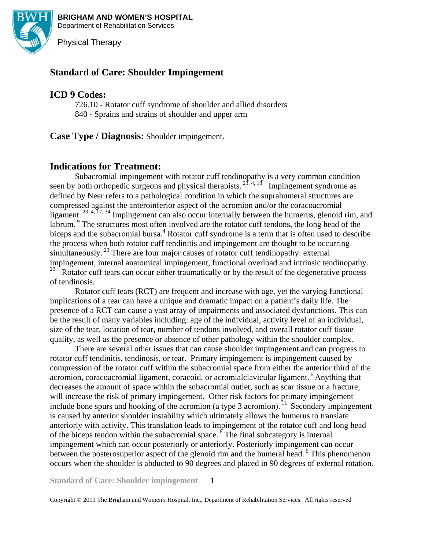

**BRIGHAM AND WOMEN'S HOSPITAL**  Department of Rehabilitation Services

Physical Therapy

# **Standard of Care: Shoulder Impingement**

# **ICD 9 Codes:**

726.10 - Rotator cuff syndrome of shoulder and allied disorders 840 - Sprains and strains of shoulder and upper arm

**Case Type / Diagnosis:** Shoulder impingement.

# **Indications for Treatment:**

Subacromial impingement with rotator cuff tendinopathy is a very common condition seen by both orthopedic surgeons and physical therapists.  $2^{\frac{3}{3}}$ ,  $4$ ,  $18$  Impingement syndrome as defined by Neer refers to a pathological condition in which the suprahumeral structures are compressed against the anteroinferior aspect of the acromion and/or the coracoacromial ligament.  $23, 4, 17, 34$  Impingement can also occur internally between the humerus, glenoid rim, and labrum. <sup>9</sup> The structures most often involved are the rotator cuff tendons, the long head of the biceps and the subacromial bursa.<sup>4</sup> Rotator cuff syndrome is a term that is often used to describe the process when both rotator cuff tendinitis and impingement are thought to be occurring simultaneously.  $^{23}$  There are four major causes of rotator cuff tendinopathy: external impingement, internal anatomical impingement, functional overload and intrinsic tendinopathy.<br><sup>23</sup> Batator over team can occur aithor traumatically or by the result of the degenerative process. 23 Rotator cuff tears can occur either traumatically or by the result of the degenerative process of tendinosis.

Rotator cuff tears (RCT) are frequent and increase with age, yet the varying functional implications of a tear can have a unique and dramatic impact on a patient's daily life. The presence of a RCT can cause a vast array of impairments and associated dysfunctions. This can be the result of many variables including: age of the individual, activity level of an individual, size of the tear, location of tear, number of tendons involved, and overall rotator cuff tissue quality, as well as the presence or absence of other pathology within the shoulder complex.

There are several other issues that can cause shoulder impingement and can progress to rotator cuff tendinitis, tendinosis, or tear. Primary impingement is impingement caused by compression of the rotator cuff within the subacromial space from either the anterior third of the acromion, coracoacromial ligament, coracoid, or acromialclavicular ligament. <sup>6</sup> Anything that decreases the amount of space within the subacromial outlet, such as scar tissue or a fracture, will increase the risk of primary impingement. Other risk factors for primary impingement include bone spurs and hooking of the acromion (a type 3 acromion). <sup>11</sup> Secondary impingement is caused by anterior shoulder instability which ultimately allows the humerus to translate anteriorly with activity. This translation leads to impingement of the rotator cuff and long head of the biceps tendon within the subacromial space. <sup>6</sup> The final subcategory is internal impingement which can occur posteriorly or anteriorly. Posteriorly impingement can occur between the posterosuperior aspect of the glenoid rim and the humeral head. <sup>6</sup> This phenomenon occurs when the shoulder is abducted to 90 degrees and placed in 90 degrees of external rotation.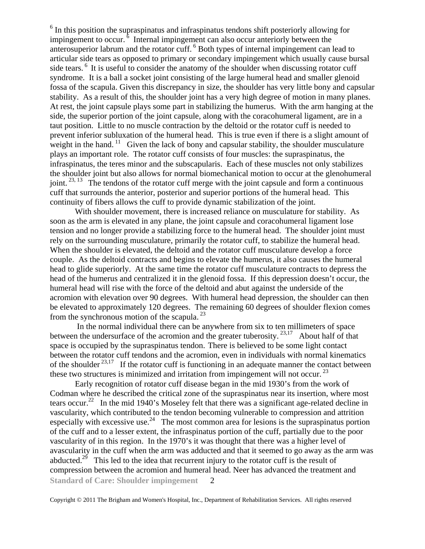<sup>6</sup> In this position the supraspinatus and infraspinatus tendons shift posteriorly allowing for impingement to occur.<sup>6</sup> Internal impingement can also occur anteriorly between the anterosuperior labrum and the rotator cuff. <sup>6</sup> Both types of internal impingement can lead to articular side tears as opposed to primary or secondary impingement which usually cause bursal side tears.<sup>6</sup> It is useful to consider the anatomy of the shoulder when discussing rotator cuff syndrome. It is a ball a socket joint consisting of the large humeral head and smaller glenoid fossa of the scapula. Given this discrepancy in size, the shoulder has very little bony and capsular stability. As a result of this, the shoulder joint has a very high degree of motion in many planes. At rest, the joint capsule plays some part in stabilizing the humerus. With the arm hanging at the side, the superior portion of the joint capsule, along with the coracohumeral ligament, are in a taut position. Little to no muscle contraction by the deltoid or the rotator cuff is needed to prevent inferior subluxation of the humeral head. This is true even if there is a slight amount of weight in the hand.  $\frac{11}{11}$  Given the lack of bony and capsular stability, the shoulder musculature plays an important role. The rotator cuff consists of four muscles: the supraspinatus, the infraspinatus, the teres minor and the subscapularis. Each of these muscles not only stabilizes the shoulder joint but also allows for normal biomechanical motion to occur at the glenohumeral joint.  $2^{3,13}$  The tendons of the rotator cuff merge with the joint capsule and form a continuous cuff that surrounds the anterior, posterior and superior portions of the humeral head. This continuity of fibers allows the cuff to provide dynamic stabilization of the joint.

With shoulder movement, there is increased reliance on musculature for stability. As soon as the arm is elevated in any plane, the joint capsule and coracohumeral ligament lose tension and no longer provide a stabilizing force to the humeral head. The shoulder joint must rely on the surrounding musculature, primarily the rotator cuff, to stabilize the humeral head. When the shoulder is elevated, the deltoid and the rotator cuff musculature develop a force couple. As the deltoid contracts and begins to elevate the humerus, it also causes the humeral head to glide superiorly. At the same time the rotator cuff musculature contracts to depress the head of the humerus and centralized it in the glenoid fossa. If this depression doesn't occur, the humeral head will rise with the force of the deltoid and abut against the underside of the acromion with elevation over 90 degrees. With humeral head depression, the shoulder can then be elevated to approximately 120 degrees. The remaining 60 degrees of shoulder flexion comes from the synchronous motion of the scapula. 23

 In the normal individual there can be anywhere from six to ten millimeters of space between the undersurface of the acromion and the greater tuberosity.  $23,17$  About half of that space is occupied by the supraspinatus tendon. There is believed to be some light contact between the rotator cuff tendons and the acromion, even in individuals with normal kinematics of the shoulder  $23,17$  If the rotator cuff is functioning in an adequate manner the contact between these two structures is minimized and irritation from impingement will not occur.  $^{23}$ 

**Standard of Care: Shoulder impingement**   $\mathcal{L}$ Early recognition of rotator cuff disease began in the mid 1930's from the work of Codman where he described the critical zone of the supraspinatus near its insertion, where most tears occur.<sup>22</sup> In the mid 1940's Moseley felt that there was a significant age-related decline in vascularity, which contributed to the tendon becoming vulnerable to compression and attrition especially with excessive use.<sup>24</sup> The most common area for lesions is the supraspinatus portion of the cuff and to a lesser extent, the infraspinatus portion of the cuff, partially due to the poor vascularity of in this region. In the 1970's it was thought that there was a higher level of avascularity in the cuff when the arm was adducted and that it seemed to go away as the arm was abducted.<sup>29</sup> This led to the idea that recurrent injury to the rotator cuff is the result of compression between the acromion and humeral head. Neer has advanced the treatment and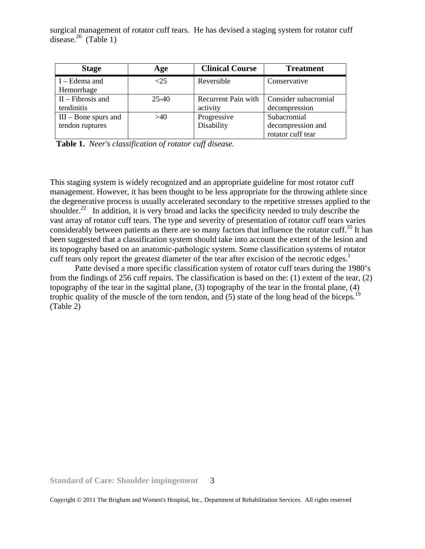surgical management of rotator cuff tears. He has devised a staging system for rotator cuff disease. $^{26}$  (Table 1)

| <b>Stage</b>                              | Age   | <b>Clinical Course</b>          | <b>Treatment</b>                                      |
|-------------------------------------------|-------|---------------------------------|-------------------------------------------------------|
| $I - Edema$ and<br>Hemorrhage             | < 25  | Reversible                      | Conservative                                          |
| $II$ – Fibrosis and<br>tendinitis         | 25-40 | Recurrent Pain with<br>activity | Consider subacromial<br>decompression                 |
| $III - Bone$ spurs and<br>tendon ruptures | >40   | Progressive<br>Disability       | Subacromial<br>decompression and<br>rotator cuff tear |

**Table 1.** *Neer's classification of rotator cuff disease.* 

This staging system is widely recognized and an appropriate guideline for most rotator cuff management. However, it has been thought to be less appropriate for the throwing athlete since the degenerative process is usually accelerated secondary to the repetitive stresses applied to the shoulder.<sup>22</sup> In addition, it is very broad and lacks the specificity needed to truly describe the vast array of rotator cuff tears. The type and severity of presentation of rotator cuff tears varies considerably between patients as there are so many factors that influence the rotator cuff.<sup>35</sup> It has been suggested that a classification system should take into account the extent of the lesion and its topography based on an anatomic-pathologic system. Some classification systems of rotator cuff tears only report the greatest diameter of the tear after excision of the necrotic edges.<sup>1</sup>

Patte devised a more specific classification system of rotator cuff tears during the 1980's from the findings of 256 cuff repairs. The classification is based on the: (1) extent of the tear, (2) topography of the tear in the sagittal plane, (3) topography of the tear in the frontal plane, (4) trophic quality of the muscle of the torn tendon, and  $(5)$  state of the long head of the biceps.<sup>19</sup> (Table 2)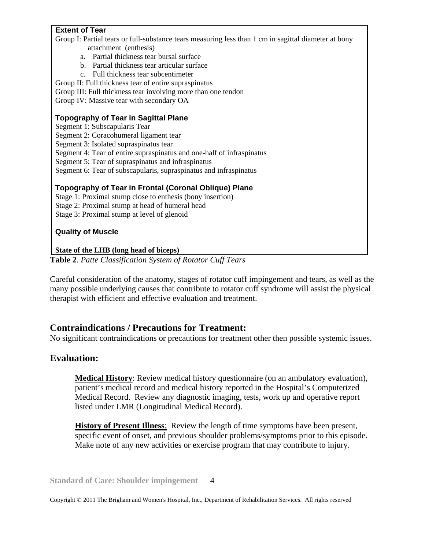## **Extent of Tear**

Group I: Partial tears or full-substance tears measuring less than 1 cm in sagittal diameter at bony attachment (enthesis)

- a. Partial thickness tear bursal surface
- b. Partial thickness tear articular surface
- c. Full thickness tear subcentimeter

Group II: Full thickness tear of entire supraspinatus

Group III: Full thickness tear involving more than one tendon

Group IV: Massive tear with secondary OA

#### **Topography of Tear in Sagittal Plane**

Segment 1: Subscapularis Tear

Segment 2: Coracohumeral ligament tear

Segment 3: Isolated supraspinatus tear

Segment 4: Tear of entire supraspinatus and one-half of infraspinatus

Segment 5: Tear of supraspinatus and infraspinatus

Segment 6: Tear of subscapularis, supraspinatus and infraspinatus

#### **Topography of Tear in Frontal (Coronal Oblique) Plane**

Stage 1: Proximal stump close to enthesis (bony insertion)

Stage 2: Proximal stump at head of humeral head

Stage 3: Proximal stump at level of glenoid

#### **Quality of Muscle**

**State of the LHB (long head of biceps)**

**Table 2**. *Patte Classification System of Rotator Cuff Tears*

Careful consideration of the anatomy, stages of rotator cuff impingement and tears, as well as the many possible underlying causes that contribute to rotator cuff syndrome will assist the physical therapist with efficient and effective evaluation and treatment.

### **Contraindications / Precautions for Treatment:**

No significant contraindications or precautions for treatment other then possible systemic issues.

## **Evaluation:**

**Medical History**: Review medical history questionnaire (on an ambulatory evaluation), patient's medical record and medical history reported in the Hospital's Computerized Medical Record. Review any diagnostic imaging, tests, work up and operative report listed under LMR (Longitudinal Medical Record).

**History of Present Illness**: Review the length of time symptoms have been present, specific event of onset, and previous shoulder problems/symptoms prior to this episode. Make note of any new activities or exercise program that may contribute to injury.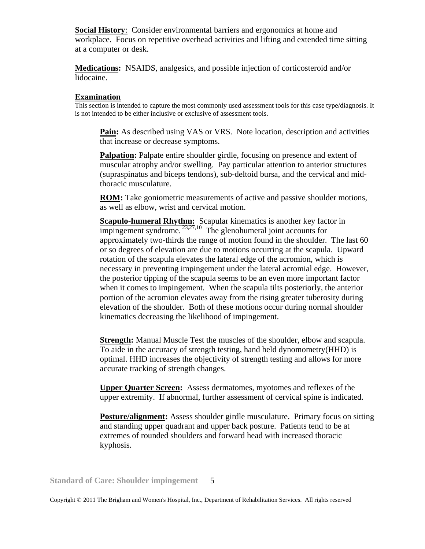**Social History**: Consider environmental barriers and ergonomics at home and workplace. Focus on repetitive overhead activities and lifting and extended time sitting at a computer or desk.

**Medications:** NSAIDS, analgesics, and possible injection of corticosteroid and/or lidocaine.

**Examination**<br>This section is intended to capture the most commonly used assessment tools for this case type/diagnosis. It is not intended to be either inclusive or exclusive of assessment tools.

**Pain:** As described using VAS or VRS. Note location, description and activities that increase or decrease symptoms.

**Palpation:** Palpate entire shoulder girdle, focusing on presence and extent of muscular atrophy and/or swelling. Pay particular attention to anterior structures (supraspinatus and biceps tendons), sub-deltoid bursa, and the cervical and midthoracic musculature.

**ROM:** Take goniometric measurements of active and passive shoulder motions, as well as elbow, wrist and cervical motion.

**Scapulo-humeral Rhythm:** Scapular kinematics is another key factor in impingement syndrome.  $^{23,27,10}$  The glenohumeral joint accounts for approximately two-thirds the range of motion found in the shoulder. The last 60 or so degrees of elevation are due to motions occurring at the scapula. Upward rotation of the scapula elevates the lateral edge of the acromion, which is necessary in preventing impingement under the lateral acromial edge. However, the posterior tipping of the scapula seems to be an even more important factor when it comes to impingement. When the scapula tilts posteriorly, the anterior portion of the acromion elevates away from the rising greater tuberosity during elevation of the shoulder. Both of these motions occur during normal shoulder kinematics decreasing the likelihood of impingement.

**Strength:** Manual Muscle Test the muscles of the shoulder, elbow and scapula. To aide in the accuracy of strength testing, hand held dynomometry(HHD) is optimal. HHD increases the objectivity of strength testing and allows for more accurate tracking of strength changes.

**Upper Quarter Screen:** Assess dermatomes, myotomes and reflexes of the upper extremity. If abnormal, further assessment of cervical spine is indicated.

**Posture/alignment:** Assess shoulder girdle musculature. Primary focus on sitting and standing upper quadrant and upper back posture. Patients tend to be at extremes of rounded shoulders and forward head with increased thoracic kyphosis.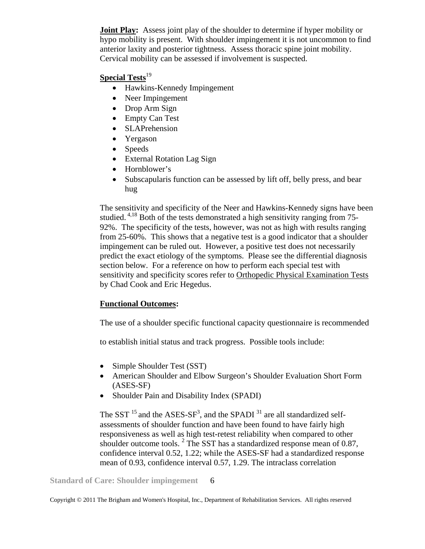**Joint Play:** Assess joint play of the shoulder to determine if hyper mobility or hypo mobility is present. With shoulder impingement it is not uncommon to find anterior laxity and posterior tightness. Assess thoracic spine joint mobility. Cervical mobility can be assessed if involvement is suspected.

## **Special Tests**<sup>19</sup>

- Hawkins-Kennedy Impingement
- Neer Impingement
- Drop Arm Sign
- Empty Can Test
- SLAPrehension
- Yergason
- Speeds
- External Rotation Lag Sign
- Hornblower's
- Subscapularis function can be assessed by lift off, belly press, and bear hug

The sensitivity and specificity of the Neer and Hawkins-Kennedy signs have been studied.  $4.18$  Both of the tests demonstrated a high sensitivity ranging from 75-92%. The specificity of the tests, however, was not as high with results ranging from 25-60%. This shows that a negative test is a good indicator that a shoulder impingement can be ruled out. However, a positive test does not necessarily predict the exact etiology of the symptoms. Please see the differential diagnosis section below. For a reference on how to perform each special test with sensitivity and specificity scores refer to Orthopedic Physical Examination Tests by Chad Cook and Eric Hegedus.

### **Functional Outcomes:**

The use of a shoulder specific functional capacity questionnaire is recommended

to establish initial status and track progress. Possible tools include:

- Simple Shoulder Test (SST)
- American Shoulder and Elbow Surgeon's Shoulder Evaluation Short Form (ASES-SF)
- Shoulder Pain and Disability Index (SPADI)

The SST  $^{15}$  and the ASES-SF<sup>3</sup>, and the SPADI  $^{31}$  are all standardized selfassessments of shoulder function and have been found to have fairly high responsiveness as well as high test-retest reliability when compared to other shoulder outcome tools. <sup>2</sup> The SST has a standardized response mean of 0.87, confidence interval 0.52, 1.22; while the ASES-SF had a standardized response mean of 0.93, confidence interval 0.57, 1.29. The intraclass correlation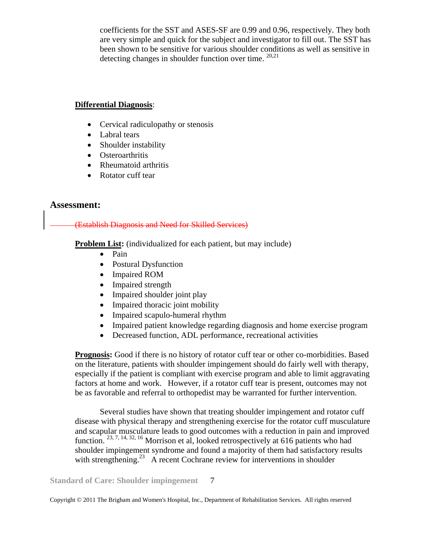coefficients for the SST and ASES-SF are 0.99 and 0.96, respectively. They both are very simple and quick for the subject and investigator to fill out. The SST has been shown to be sensitive for various shoulder conditions as well as sensitive in detecting changes in shoulder function over time.  $20,21$ 

#### **Differential Diagnosis**:

- Cervical radiculopathy or stenosis
- Labral tears
- Shoulder instability
- Osteroarthritis
- Rheumatoid arthritis
- Rotator cuff tear

## **Assessment:**

### (Establish Diagnosis and Need for Skilled Services)

**Problem List:** (individualized for each patient, but may include)

- Pain
- Postural Dysfunction
- Impaired ROM
- Impaired strength
- Impaired shoulder joint play
- Impaired thoracic joint mobility
- Impaired scapulo-humeral rhythm
- Impaired patient knowledge regarding diagnosis and home exercise program
- Decreased function, ADL performance, recreational activities

**Prognosis:** Good if there is no history of rotator cuff tear or other co-morbidities. Based on the literature, patients with shoulder impingement should do fairly well with therapy, especially if the patient is compliant with exercise program and able to limit aggravating factors at home and work. However, if a rotator cuff tear is present, outcomes may not be as favorable and referral to orthopedist may be warranted for further intervention.

Several studies have shown that treating shoulder impingement and rotator cuff disease with physical therapy and strengthening exercise for the rotator cuff musculature and scapular musculature leads to good outcomes with a reduction in pain and improved function. <sup>23, 7, 14, 32, 16</sup> Morrison et al, looked retrospectively at 616 patients who had shoulder impingement syndrome and found a majority of them had satisfactory results with strengthening.<sup>23</sup> A recent Cochrane review for interventions in shoulder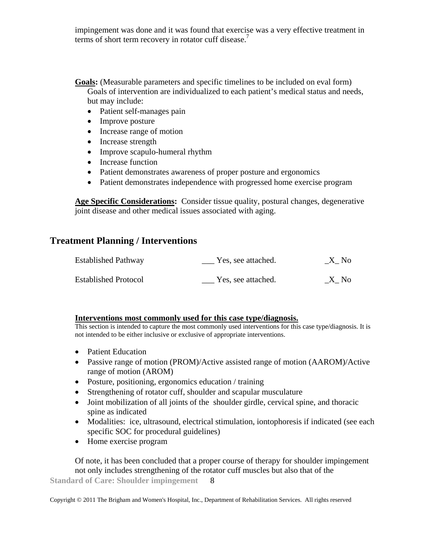impingement was done and it was found that exercise was a very effective treatment in terms of short term recovery in rotator cuff disease.<sup>7</sup>

- **Goals:** (Measurable parameters and specific timelines to be included on eval form) Goals of intervention are individualized to each patient's medical status and needs, but may include:
	- Patient self-manages pain
	- Improve posture
	- Increase range of motion
	- Increase strength
	- Improve scapulo-humeral rhythm
	- Increase function
	- Patient demonstrates awareness of proper posture and ergonomics
	- Patient demonstrates independence with progressed home exercise program

**Age Specific Considerations:** Consider tissue quality, postural changes, degenerative joint disease and other medical issues associated with aging.

## **Treatment Planning / Interventions**

| <b>Established Pathway</b>  | Yes, see attached. | X No |
|-----------------------------|--------------------|------|
| <b>Established Protocol</b> | Yes, see attached. | X No |

#### **Interventions most commonly used for this case type/diagnosis.**

This section is intended to capture the most commonly used interventions for this case type/diagnosis. It is not intended to be either inclusive or exclusive of appropriate interventions.

- Patient Education
- Passive range of motion (PROM)/Active assisted range of motion (AAROM)/Active range of motion (AROM)
- Posture, positioning, ergonomics education / training
- Strengthening of rotator cuff, shoulder and scapular musculature
- Joint mobilization of all joints of the shoulder girdle, cervical spine, and thoracic spine as indicated
- Modalities: ice, ultrasound, electrical stimulation, iontophoresis if indicated (see each specific SOC for procedural guidelines)
- Home exercise program

**Standard of Care: Shoulder impingement**  8 Of note, it has been concluded that a proper course of therapy for shoulder impingement not only includes strengthening of the rotator cuff muscles but also that of the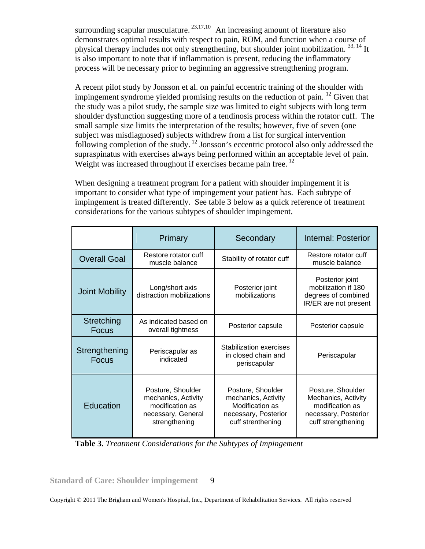surrounding scapular musculature.  $23,17,10$  An increasing amount of literature also demonstrates optimal results with respect to pain, ROM, and function when a course of physical therapy includes not only strengthening, but shoulder joint mobilization.<sup>33, 14</sup> It is also important to note that if inflammation is present, reducing the inflammatory process will be necessary prior to beginning an aggressive strengthening program.

A recent pilot study by Jonsson et al. on painful eccentric training of the shoulder with impingement syndrome yielded promising results on the reduction of pain.  $^{12}$  Given that the study was a pilot study, the sample size was limited to eight subjects with long term shoulder dysfunction suggesting more of a tendinosis process within the rotator cuff. The small sample size limits the interpretation of the results; however, five of seven (one subject was misdiagnosed) subjects withdrew from a list for surgical intervention following completion of the study. 12 Jonsson's eccentric protocol also only addressed the supraspinatus with exercises always being performed within an acceptable level of pain. Weight was increased throughout if exercises became pain free.  $^{12}$ 

When designing a treatment program for a patient with shoulder impingement it is important to consider what type of impingement your patient has. Each subtype of impingement is treated differently. See table 3 below as a quick reference of treatment considerations for the various subtypes of shoulder impingement.

|                               | Primary                                                                                            | Secondary                                                                                                | Internal: Posterior                                                                                       |
|-------------------------------|----------------------------------------------------------------------------------------------------|----------------------------------------------------------------------------------------------------------|-----------------------------------------------------------------------------------------------------------|
| <b>Overall Goal</b>           | Restore rotator cuff<br>muscle balance                                                             | Stability of rotator cuff                                                                                | Restore rotator cuff<br>muscle balance                                                                    |
| <b>Joint Mobility</b>         | Long/short axis<br>distraction mobilizations                                                       | Posterior joint<br>mobilizations                                                                         | Posterior joint<br>mobilization if 180<br>degrees of combined<br>IR/ER are not present                    |
| Stretching<br><b>Focus</b>    | As indicated based on<br>overall tightness                                                         | Posterior capsule                                                                                        | Posterior capsule                                                                                         |
| Strengthening<br><b>Focus</b> | Periscapular as<br>indicated                                                                       | Stabilization exercises<br>in closed chain and<br>periscapular                                           | Periscapular                                                                                              |
| Education                     | Posture, Shoulder<br>mechanics, Activity<br>modification as<br>necessary, General<br>strengthening | Posture, Shoulder<br>mechanics, Activity<br>Modification as<br>necessary, Posterior<br>cuff strenthening | Posture, Shoulder<br>Mechanics, Activity<br>modification as<br>necessary, Posterior<br>cuff strengthening |

 **Table 3.** *Treatment Considerations for the Subtypes of Impingement*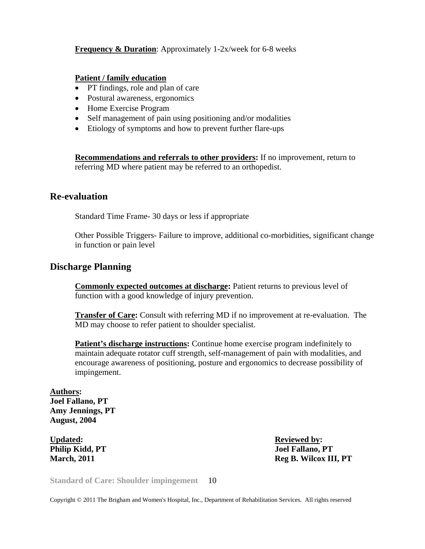#### **Frequency & Duration**: Approximately 1-2x/week for 6-8 weeks

#### **Patient / family education**

- PT findings, role and plan of care
- Postural awareness, ergonomics
- Home Exercise Program
- Self management of pain using positioning and/or modalities
- Etiology of symptoms and how to prevent further flare-ups

**Recommendations and referrals to other providers:** If no improvement, return to referring MD where patient may be referred to an orthopedist.

#### **Re-evaluation**

Standard Time Frame- 30 days or less if appropriate

Other Possible Triggers- Failure to improve, additional co-morbidities, significant change in function or pain level

#### **Discharge Planning**

**Commonly expected outcomes at discharge:** Patient returns to previous level of function with a good knowledge of injury prevention.

**Transfer of Care:** Consult with referring MD if no improvement at re-evaluation. The MD may choose to refer patient to shoulder specialist.

**Patient's discharge instructions:** Continue home exercise program indefinitely to maintain adequate rotator cuff strength, self-management of pain with modalities, and encourage awareness of positioning, posture and ergonomics to decrease possibility of impingement.

**Authors: Joel Fallano, PT Amy Jennings, PT August, 2004** 

Updated: **Reviewed by: Reviewed by: Reviewed by:** 

**Philip Kidd, PT**  $J$ oel Fallano, PT **March, 2011 Reg B. Wilcox III, PT** 

**Standard of Care: Shoulder impingement**  10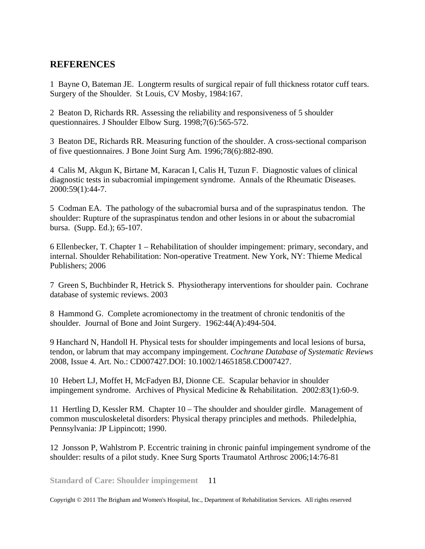# **REFERENCES**

1 Bayne O, Bateman JE. Longterm results of surgical repair of full thickness rotator cuff tears. Surgery of the Shoulder. St Louis, CV Mosby, 1984:167.

2 Beaton D, Richards RR. Assessing the reliability and responsiveness of 5 shoulder questionnaires. J Shoulder Elbow Surg. 1998;7(6):565-572.

3 Beaton DE, Richards RR. Measuring function of the shoulder. A cross-sectional comparison of five questionnaires. J Bone Joint Surg Am. 1996;78(6):882-890.

4 Calis M, Akgun K, Birtane M, Karacan I, Calis H, Tuzun F. Diagnostic values of clinical diagnostic tests in subacromial impingement syndrome. Annals of the Rheumatic Diseases. 2000:59(1):44-7.

5 Codman EA. The pathology of the subacromial bursa and of the supraspinatus tendon. The shoulder: Rupture of the supraspinatus tendon and other lesions in or about the subacromial bursa. (Supp. Ed.); 65-107.

6 Ellenbecker, T. Chapter 1 – Rehabilitation of shoulder impingement: primary, secondary, and internal. Shoulder Rehabilitation: Non-operative Treatment. New York, NY: Thieme Medical Publishers; 2006

7 Green S, Buchbinder R, Hetrick S. Physiotherapy interventions for shoulder pain. Cochrane database of systemic reviews. 2003

8 Hammond G. Complete acromionectomy in the treatment of chronic tendonitis of the shoulder. Journal of Bone and Joint Surgery. 1962:44(A):494-504.

9 Hanchard N, Handoll H. Physical tests for shoulder impingements and local lesions of bursa, tendon, or labrum that may accompany impingement. *Cochrane Database of Systematic Reviews* 2008, Issue 4. Art. No.: CD007427.DOI: 10.1002/14651858.CD007427.

10 Hebert LJ, Moffet H, McFadyen BJ, Dionne CE. Scapular behavior in shoulder impingement syndrome. Archives of Physical Medicine & Rehabilitation. 2002:83(1):60-9.

11 Hertling D, Kessler RM. Chapter 10 – The shoulder and shoulder girdle. Management of common musculoskeletal disorders: Physical therapy principles and methods. Philedelphia, Pennsylvania: JP Lippincott; 1990.

12 Jonsson P, Wahlstrom P. Eccentric training in chronic painful impingement syndrome of the shoulder: results of a pilot study. Knee Surg Sports Traumatol Arthrosc 2006;14:76-81

**Standard of Care: Shoulder impingement**  11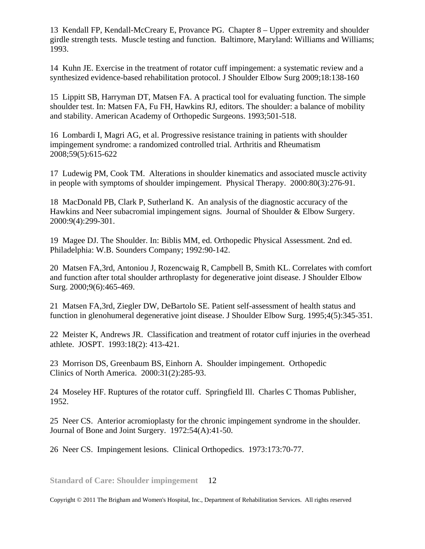13 Kendall FP, Kendall-McCreary E, Provance PG. Chapter 8 – Upper extremity and shoulder girdle strength tests. Muscle testing and function. Baltimore, Maryland: Williams and Williams; 1993.

14 Kuhn JE. Exercise in the treatment of rotator cuff impingement: a systematic review and a synthesized evidence-based rehabilitation protocol. J Shoulder Elbow Surg 2009;18:138-160

15 Lippitt SB, Harryman DT, Matsen FA. A practical tool for evaluating function. The simple shoulder test. In: Matsen FA, Fu FH, Hawkins RJ, editors. The shoulder: a balance of mobility and stability. American Academy of Orthopedic Surgeons. 1993;501-518.

16 Lombardi I, Magri AG, et al. Progressive resistance training in patients with shoulder impingement syndrome: a randomized controlled trial. Arthritis and Rheumatism 2008;59(5):615-622

17 Ludewig PM, Cook TM. Alterations in shoulder kinematics and associated muscle activity in people with symptoms of shoulder impingement. Physical Therapy. 2000:80(3):276-91.

18 MacDonald PB, Clark P, Sutherland K. An analysis of the diagnostic accuracy of the Hawkins and Neer subacromial impingement signs. Journal of Shoulder & Elbow Surgery. 2000:9(4):299-301.

19 Magee DJ. The Shoulder. In: Biblis MM, ed. Orthopedic Physical Assessment*.* 2nd ed. Philadelphia: W.B. Sounders Company; 1992:90-142.

20 Matsen FA,3rd, Antoniou J, Rozencwaig R, Campbell B, Smith KL. Correlates with comfort and function after total shoulder arthroplasty for degenerative joint disease. J Shoulder Elbow Surg. 2000;9(6):465-469.

21 Matsen FA,3rd, Ziegler DW, DeBartolo SE. Patient self-assessment of health status and function in glenohumeral degenerative joint disease. J Shoulder Elbow Surg. 1995;4(5):345-351.

22 Meister K, Andrews JR. Classification and treatment of rotator cuff injuries in the overhead athlete. JOSPT. 1993:18(2): 413-421.

23 Morrison DS, Greenbaum BS, Einhorn A. Shoulder impingement. Orthopedic Clinics of North America. 2000:31(2):285-93.

24 Moseley HF. Ruptures of the rotator cuff. Springfield Ill. Charles C Thomas Publisher, 1952.

25 Neer CS. Anterior acromioplasty for the chronic impingement syndrome in the shoulder. Journal of Bone and Joint Surgery. 1972:54(A):41-50.

26 Neer CS. Impingement lesions. Clinical Orthopedics. 1973:173:70-77.

**Standard of Care: Shoulder impingement**  12